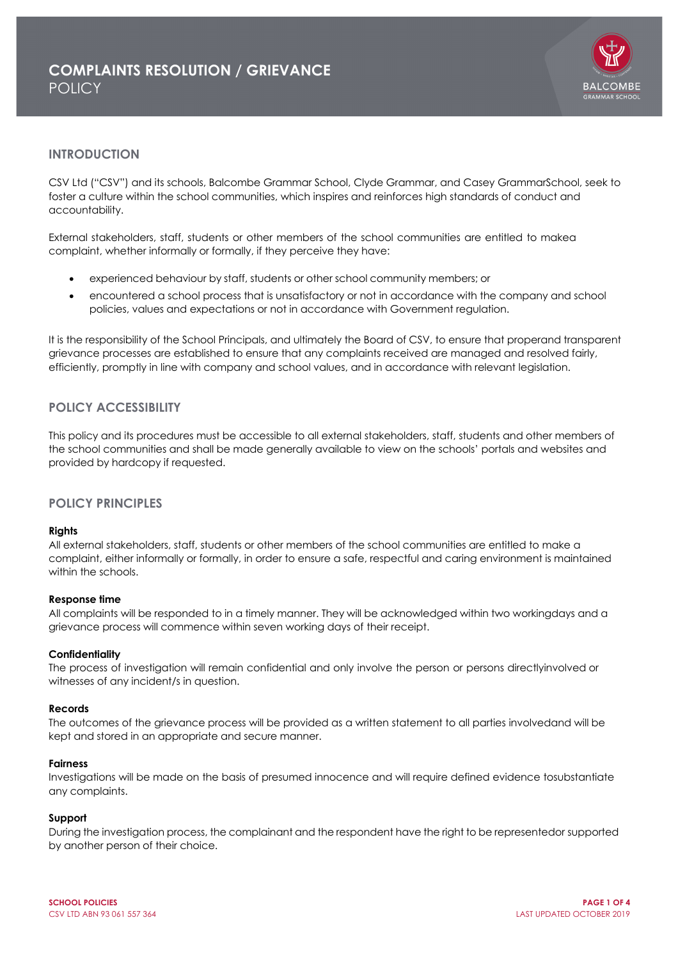

# **INTRODUCTION**

CSV Ltd ("CSV") and its schools, Balcombe Grammar School, Clyde Grammar, and Casey GrammarSchool, seek to foster a culture within the school communities, which inspires and reinforces high standards of conduct and accountability.

External stakeholders, staff, students or other members of the school communities are entitled to makea complaint, whether informally or formally, if they perceive they have:

- experienced behaviour by staff, students or other school community members; or
- encountered a school process that is unsatisfactory or not in accordance with the company and school policies, values and expectations or not in accordance with Government regulation.

It is the responsibility of the School Principals, and ultimately the Board of CSV, to ensure that properand transparent grievance processes are established to ensure that any complaints received are managed and resolved fairly, efficiently, promptly in line with company and school values, and in accordance with relevant legislation.

# **POLICY ACCESSIBILITY**

This policy and its procedures must be accessible to all external stakeholders, staff, students and other members of the school communities and shall be made generally available to view on the schools' portals and websites and provided by hardcopy if requested.

## **POLICY PRINCIPLES**

### **Rights**

All external stakeholders, staff, students or other members of the school communities are entitled to make a complaint, either informally or formally, in order to ensure a safe, respectful and caring environment is maintained within the schools.

### **Response time**

All complaints will be responded to in a timely manner. They will be acknowledged within two workingdays and a grievance process will commence within seven working days of their receipt.

#### **Confidentiality**

The process of investigation will remain confidential and only involve the person or persons directlyinvolved or witnesses of any incident/s in question.

#### **Records**

The outcomes of the grievance process will be provided as a written statement to all parties involvedand will be kept and stored in an appropriate and secure manner.

#### **Fairness**

Investigations will be made on the basis of presumed innocence and will require defined evidence tosubstantiate any complaints.

### **Support**

During the investigation process, the complainant and the respondent have the right to be representedor supported by another person of their choice.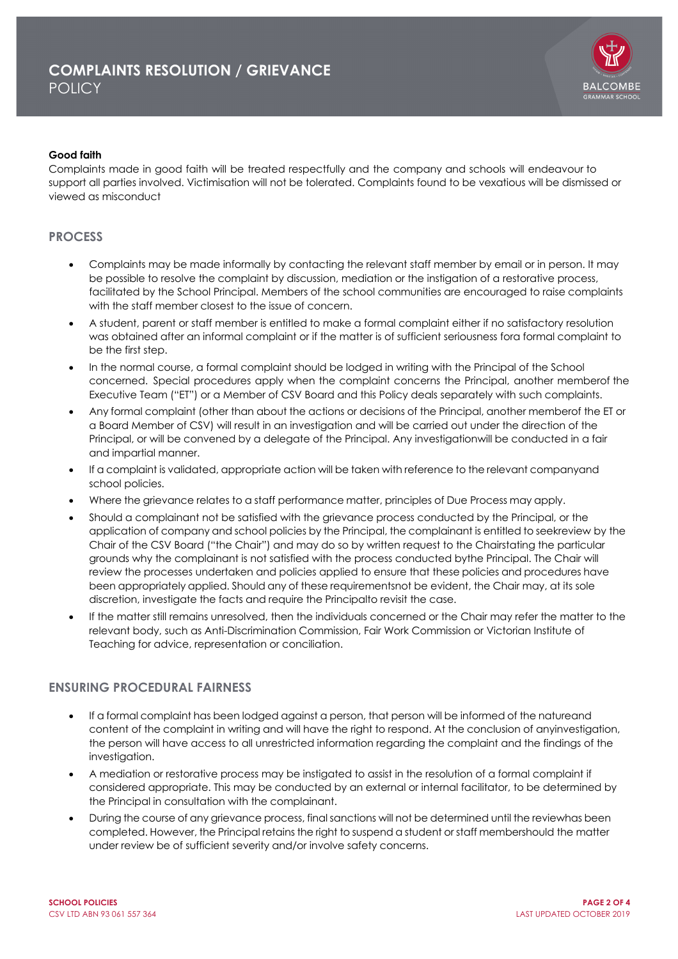

### **Good faith**

Complaints made in good faith will be treated respectfully and the company and schools will endeavour to support all parties involved. Victimisation will not be tolerated. Complaints found to be vexatious will be dismissed or viewed as misconduct

# **PROCESS**

- Complaints may be made informally by contacting the relevant staff member by email or in person. It may be possible to resolve the complaint by discussion, mediation or the instigation of a restorative process, facilitated by the School Principal. Members of the school communities are encouraged to raise complaints with the staff member closest to the issue of concern.
- A student, parent or staff member is entitled to make a formal complaint either if no satisfactory resolution was obtained after an informal complaint or if the matter is of sufficient seriousness fora formal complaint to be the first step.
- In the normal course, a formal complaint should be lodged in writing with the Principal of the School concerned. Special procedures apply when the complaint concerns the Principal, another memberof the Executive Team ("ET") or a Member of CSV Board and this Policy deals separately with such complaints.
- Any formal complaint (other than about the actions or decisions of the Principal, another memberof the ET or a Board Member of CSV) will result in an investigation and will be carried out under the direction of the Principal, or will be convened by a delegate of the Principal. Any investigationwill be conducted in a fair and impartial manner.
- If a complaint is validated, appropriate action will be taken with reference to the relevant companyand school policies.
- Where the grievance relates to a staff performance matter, principles of Due Process may apply.
- Should a complainant not be satisfied with the grievance process conducted by the Principal, or the application of company and school policies by the Principal, the complainant is entitled to seekreview by the Chair of the CSV Board ("the Chair") and may do so by written request to the Chairstating the particular grounds why the complainant is not satisfied with the process conducted bythe Principal. The Chair will review the processes undertaken and policies applied to ensure that these policies and procedures have been appropriately applied. Should any of these requirementsnot be evident, the Chair may, at its sole discretion, investigate the facts and require the Principalto revisit the case.
- If the matter still remains unresolved, then the individuals concerned or the Chair may refer the matter to the relevant body, such as Anti-Discrimination Commission, Fair Work Commission or Victorian Institute of Teaching for advice, representation or conciliation.

## **ENSURING PROCEDURAL FAIRNESS**

- If a formal complaint has been lodged against a person, that person will be informed of the natureand content of the complaint in writing and will have the right to respond. At the conclusion of anyinvestigation, the person will have access to all unrestricted information regarding the complaint and the findings of the investigation.
- A mediation or restorative process may be instigated to assist in the resolution of a formal complaint if considered appropriate. This may be conducted by an external or internal facilitator, to be determined by the Principal in consultation with the complainant.
- During the course of any grievance process, final sanctions will not be determined until the reviewhas been completed. However, the Principal retains the right to suspend a student or staff membershould the matter under review be of sufficient severity and/or involve safety concerns.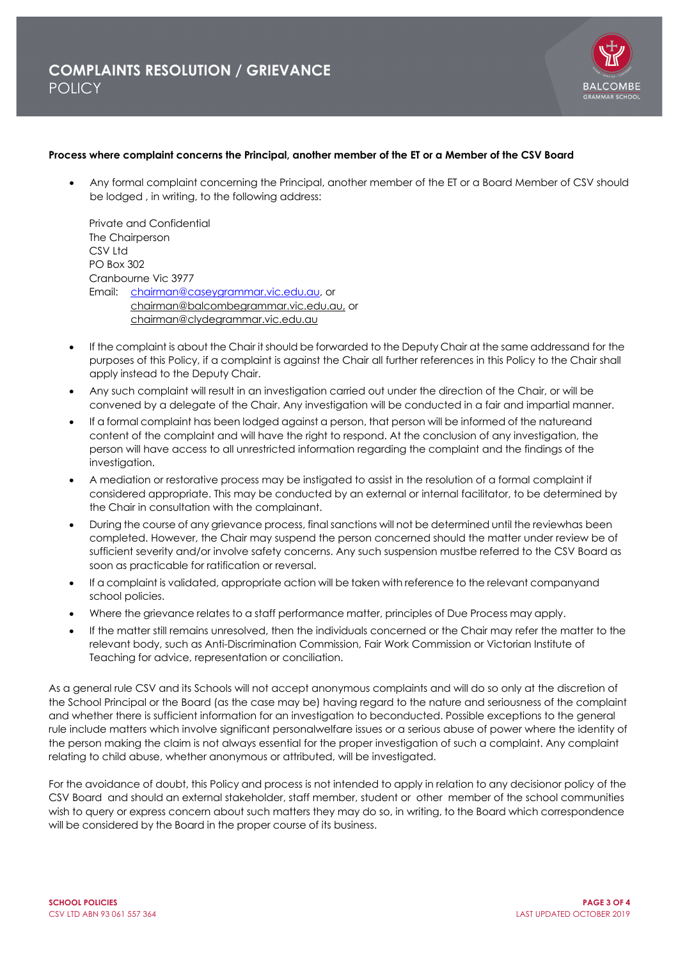

#### **Process where complaint concerns the Principal, another member of the ET or a Member of the CSV Board**

• Any formal complaint concerning the Principal, another member of the ET or a Board Member of CSV should be lodged , in writing, to the following address:

Private and Confidential The Chairperson CSV Ltd PO Box 302 Cranbourne Vic 3977 Email: chairman@caseygrammar.vic.edu.au, or chairman@balcombegrammar.vic.edu.au, or chairman@clydegrammar.vic.edu.au

- If the complaint is about the Chair it should be forwarded to the Deputy Chair at the same addressand for the purposes of this Policy, if a complaint is against the Chair all further references in this Policy to the Chair shall apply instead to the Deputy Chair.
- Any such complaint will result in an investigation carried out under the direction of the Chair, or will be convened by a delegate of the Chair. Any investigation will be conducted in a fair and impartial manner.
- If a formal complaint has been lodged against a person, that person will be informed of the natureand content of the complaint and will have the right to respond. At the conclusion of any investigation, the person will have access to all unrestricted information regarding the complaint and the findings of the investigation.
- A mediation or restorative process may be instigated to assist in the resolution of a formal complaint if considered appropriate. This may be conducted by an external or internal facilitator, to be determined by the Chair in consultation with the complainant.
- During the course of any grievance process, final sanctions will not be determined until the reviewhas been completed. However, the Chair may suspend the person concerned should the matter under review be of sufficient severity and/or involve safety concerns. Any such suspension mustbe referred to the CSV Board as soon as practicable for ratification or reversal.
- If a complaint is validated, appropriate action will be taken with reference to the relevant companyand school policies.
- Where the grievance relates to a staff performance matter, principles of Due Process may apply.
- If the matter still remains unresolved, then the individuals concerned or the Chair may refer the matter to the relevant body, such as Anti-Discrimination Commission, Fair Work Commission or Victorian Institute of Teaching for advice, representation or conciliation.

As a general rule CSV and its Schools will not accept anonymous complaints and will do so only at the discretion of the School Principal or the Board (as the case may be) having regard to the nature and seriousness of the complaint and whether there is sufficient information for an investigation to beconducted. Possible exceptions to the general rule include matters which involve significant personalwelfare issues or a serious abuse of power where the identity of the person making the claim is not always essential for the proper investigation of such a complaint. Any complaint relating to child abuse, whether anonymous or attributed, will be investigated.

For the avoidance of doubt, this Policy and process is not intended to apply in relation to any decisionor policy of the CSV Board and should an external stakeholder, staff member, student or other member of the school communities wish to query or express concern about such matters they may do so, in writing, to the Board which correspondence will be considered by the Board in the proper course of its business.